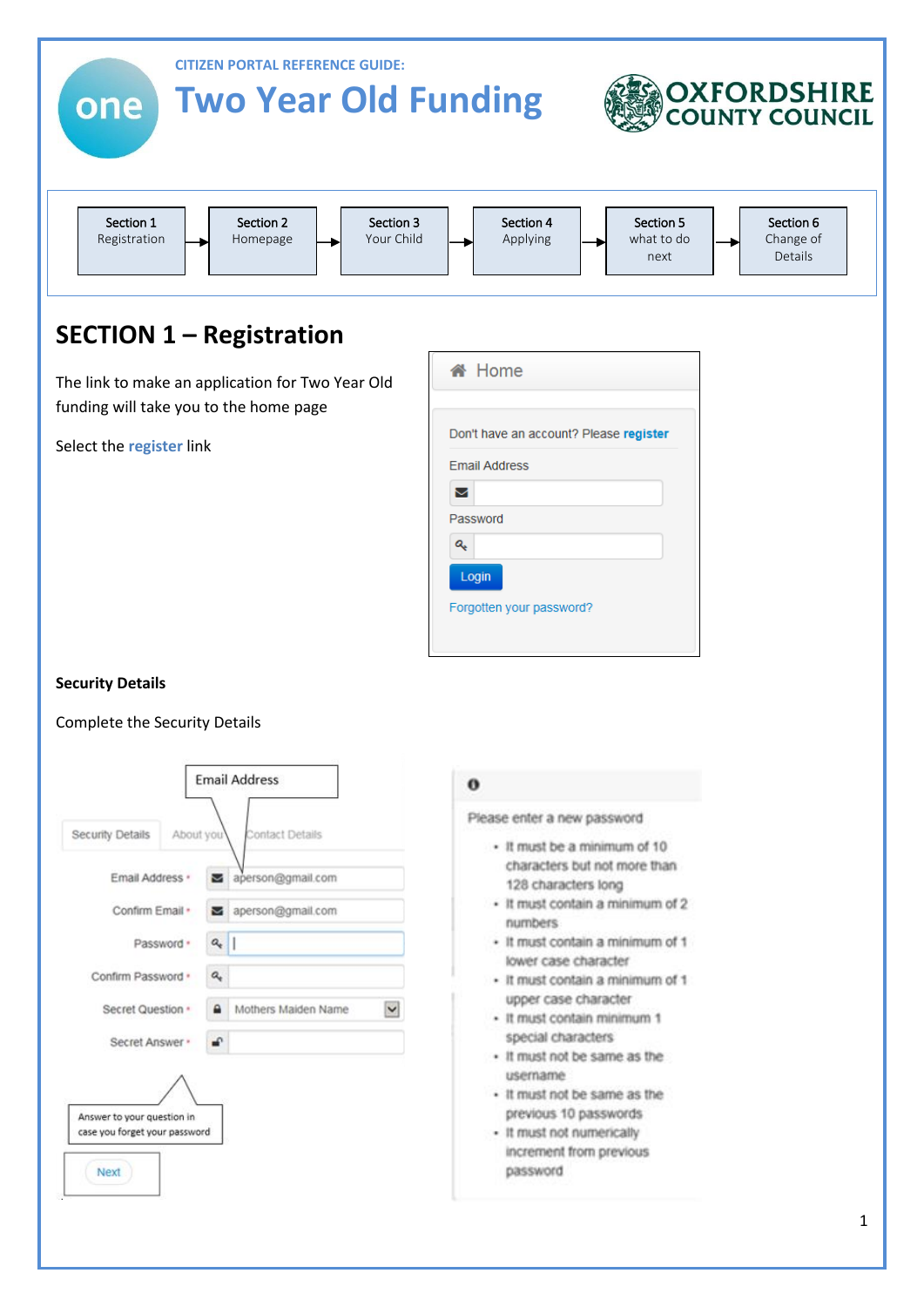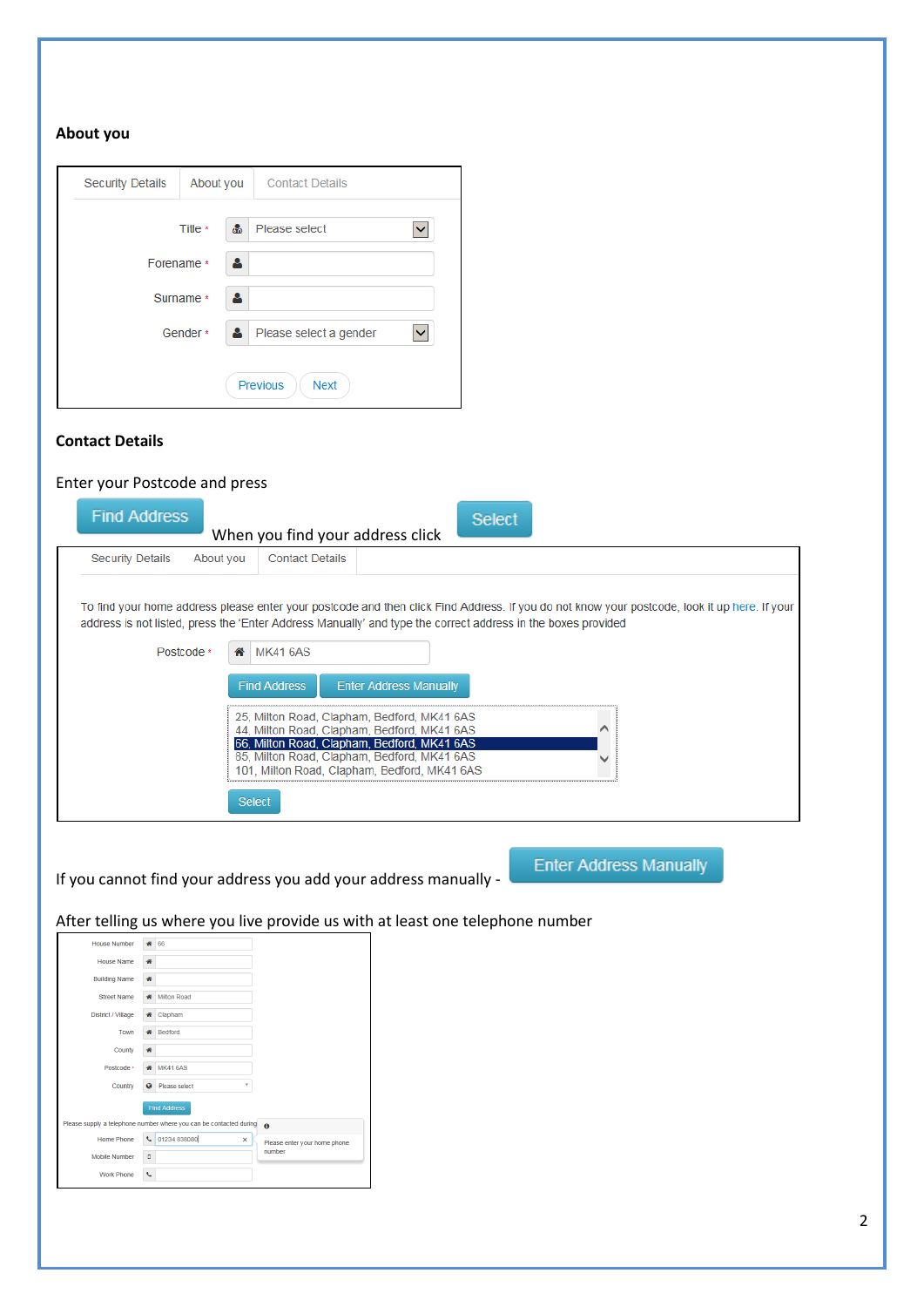| <b>Security Details</b> | About you     | <b>Contact Details</b>                |
|-------------------------|---------------|---------------------------------------|
|                         | Title *<br>க் | Please select                         |
| Forename *              | д             |                                       |
| Surname *               | д             |                                       |
| Gender *                | А.            | Please select a gender<br>$\check{ }$ |
|                         |               | <b>Previous</b><br><b>Next</b>        |

#### **Contact Details**

### Enter your Postcode and press

| <b>Find Address</b>                                                                                                        | When you find your address click                                                                                                                                                                                                        |                               | Select |                                                                                                                                              |
|----------------------------------------------------------------------------------------------------------------------------|-----------------------------------------------------------------------------------------------------------------------------------------------------------------------------------------------------------------------------------------|-------------------------------|--------|----------------------------------------------------------------------------------------------------------------------------------------------|
| <b>Security Details</b><br>About you                                                                                       | <b>Contact Details</b>                                                                                                                                                                                                                  |                               |        |                                                                                                                                              |
| address is not listed, press the 'Enter Address Manually' and type the correct address in the boxes provided<br>Postcode * | <b>MK41 6AS</b><br>₩<br><b>Find Address</b><br>25, Milton Road, Clapham, Bedford, MK41 6AS<br>44, Milton Road, Clapham, Bedford, MK41 6AS<br>66, Milton Road, Clapham, Bedford, MK41 6AS<br>85, Milton Road, Clapham, Bedford, MK41 6AS | <b>Enter Address Manually</b> |        | To find your home address please enter your postcode and then click Find Address. If you do not know your postcode, look it up here. If your |
|                                                                                                                            | 101, Milton Road, Clapham, Bedford, MK41 6AS                                                                                                                                                                                            |                               |        |                                                                                                                                              |
|                                                                                                                            | Select                                                                                                                                                                                                                                  |                               |        |                                                                                                                                              |

If you cannot find your address you add your address manually -

**Enter Address Manually** 

After telling us where you live provide us with at least one telephone number

| <b>House Number</b>  |            | 66                                                                 |                              |
|----------------------|------------|--------------------------------------------------------------------|------------------------------|
| House Name           | 番          |                                                                    |                              |
| <b>Building Name</b> | 番          |                                                                    |                              |
| <b>Street Name</b>   | 聋          | Milton Road                                                        |                              |
| District / Village   | 爵          | Clapham                                                            |                              |
| Town                 |            | <b>Bedford</b>                                                     |                              |
| County               | 骨          |                                                                    |                              |
| Postcode ·           |            | <b>MK41 6AS</b>                                                    |                              |
| Country              | $\bullet$  | Please select<br>v                                                 |                              |
|                      |            | <b>Find Address</b>                                                |                              |
|                      |            | Please supply a telephone number where you can be contacted during | $\bullet$                    |
| Home Phone           | <b>C</b>   | 01234 838080<br>$\mathsf{x}$                                       | Please enter your home phone |
| <b>Mobile Number</b> | $\Box$     |                                                                    | number                       |
| <b>Work Phone</b>    | $\epsilon$ |                                                                    |                              |
|                      |            |                                                                    |                              |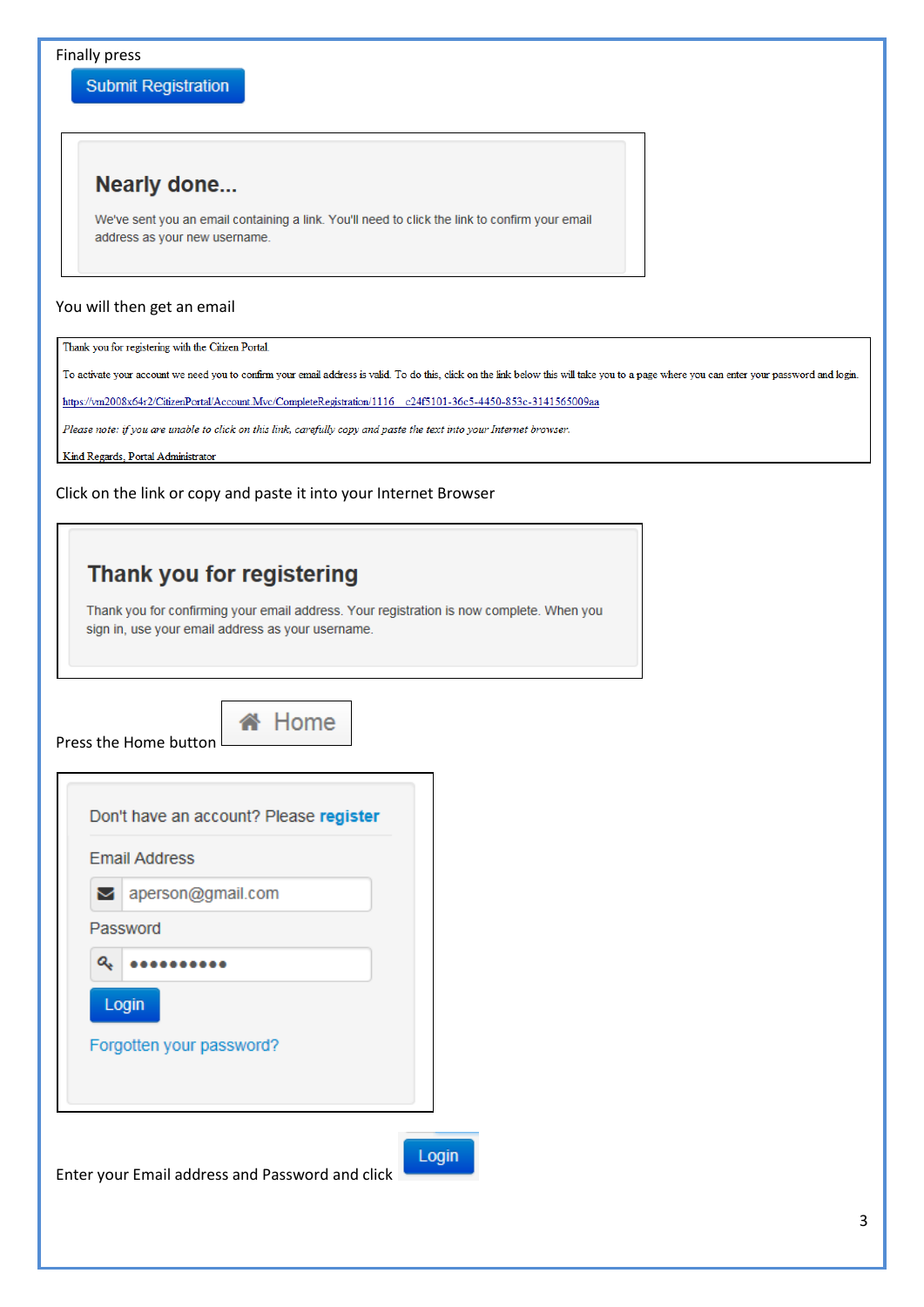Finally press

**Submit Registration** 

## **Nearly done...**

We've sent you an email containing a link. You'll need to click the link to confirm your email address as your new username.

#### You will then get an email

Thank you for registering with the Citizen Portal.

To activate your account we need you to confirm your email address is valid. To do this, click on the link below this will take you to a page where you can enter your password and login.

ain

https://vm2008x64r2/CitizenPortal/Account.Mvc/CompleteRegistration/1116 c24f5101-36c5-4450-853c-3141565009aa

Please note: if you are unable to click on this link, carefully copy and paste the text into your Internet browser.

Kind Regards, Portal Administrator

Click on the link or copy and paste it into your Internet Browser

# Thank you for registering

Thank you for confirming your email address. Your registration is now complete. When you sign in, use your email address as your username.

Press the Home button



|   | <b>Email Address</b>              |
|---|-----------------------------------|
|   | ◘ aperson@gmail.com               |
|   | Password                          |
| Q |                                   |
|   | Login<br>Forgotten your password? |
|   |                                   |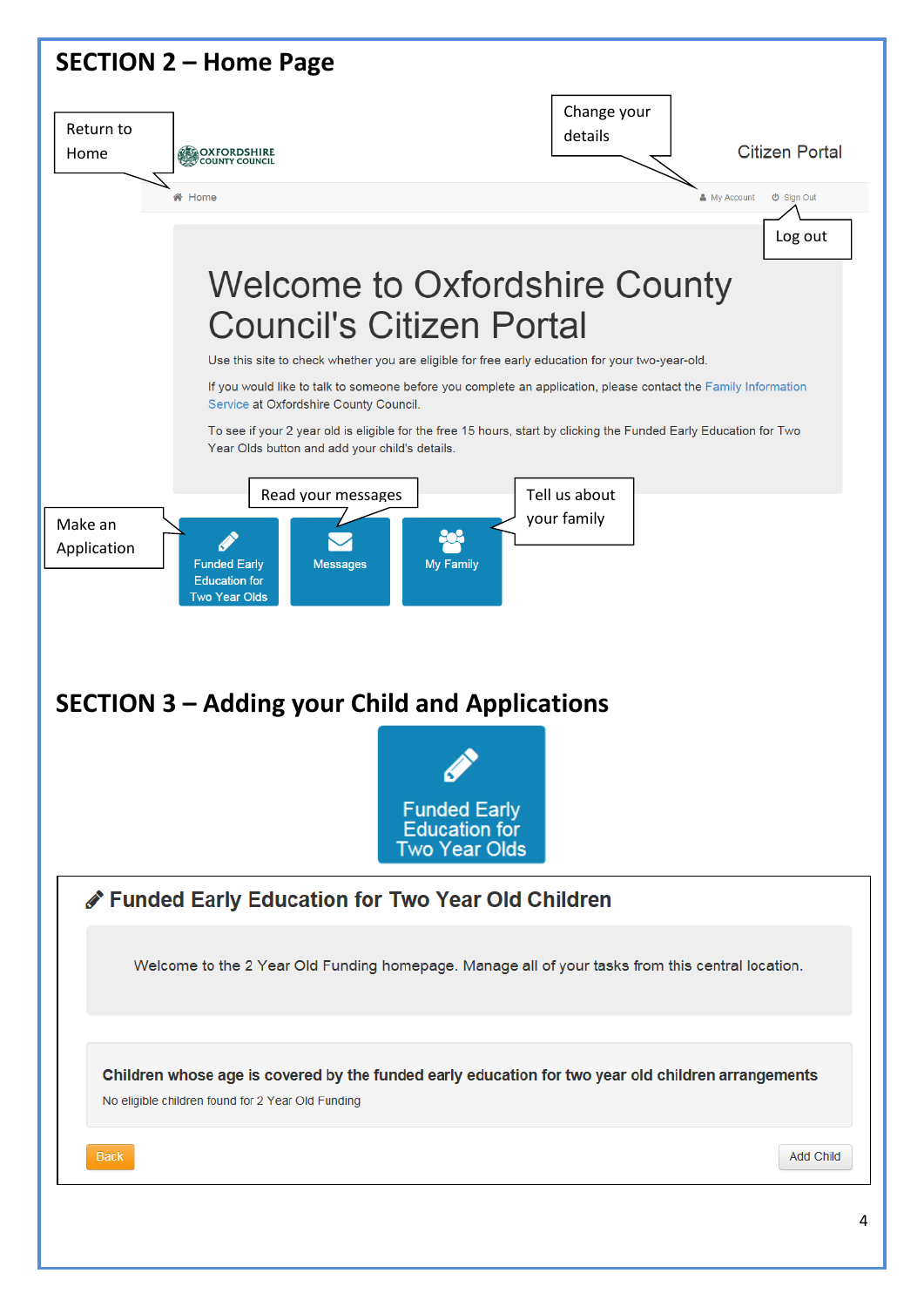| <b>SECTION 2 - Home Page</b>                                                                                                                                                                                                                                                                                                                                                                                                                                                                                                                                                                                                                                                                                                                                                                         |                                                 |
|------------------------------------------------------------------------------------------------------------------------------------------------------------------------------------------------------------------------------------------------------------------------------------------------------------------------------------------------------------------------------------------------------------------------------------------------------------------------------------------------------------------------------------------------------------------------------------------------------------------------------------------------------------------------------------------------------------------------------------------------------------------------------------------------------|-------------------------------------------------|
| Return to<br><b>COXFORDSHIRE</b><br>Home                                                                                                                                                                                                                                                                                                                                                                                                                                                                                                                                                                                                                                                                                                                                                             | Change your<br>details<br><b>Citizen Portal</b> |
| K <sup>4</sup> Home                                                                                                                                                                                                                                                                                                                                                                                                                                                                                                                                                                                                                                                                                                                                                                                  | & My Account<br>$\Phi$ Sign Out                 |
|                                                                                                                                                                                                                                                                                                                                                                                                                                                                                                                                                                                                                                                                                                                                                                                                      | Log out                                         |
| <b>Welcome to Oxfordshire County</b><br><b>Council's Citizen Portal</b><br>Use this site to check whether you are eligible for free early education for your two-year-old.<br>If you would like to talk to someone before you complete an application, please contact the Family Information<br>Service at Oxfordshire County Council.<br>To see if your 2 year old is eligible for the free 15 hours, start by clicking the Funded Early Education for Two<br>Year Olds button and add your child's details.<br>Read your messages<br>Make an<br>Application<br>My Family<br><b>Funded Early</b><br><b>Messages</b><br><b>Education for</b><br><b>Two Year Olds</b><br><b>SECTION 3 – Adding your Child and Applications</b><br><b>Funded Early</b><br><b>Education for</b><br><b>Two Year Olds</b> | Tell us about<br>your family                    |
| Funded Early Education for Two Year Old Children                                                                                                                                                                                                                                                                                                                                                                                                                                                                                                                                                                                                                                                                                                                                                     |                                                 |
| Welcome to the 2 Year Old Funding homepage. Manage all of your tasks from this central location.                                                                                                                                                                                                                                                                                                                                                                                                                                                                                                                                                                                                                                                                                                     |                                                 |
| Children whose age is covered by the funded early education for two year old children arrangements<br>No eligible children found for 2 Year Old Funding                                                                                                                                                                                                                                                                                                                                                                                                                                                                                                                                                                                                                                              |                                                 |
| <b>Back</b>                                                                                                                                                                                                                                                                                                                                                                                                                                                                                                                                                                                                                                                                                                                                                                                          | <b>Add Child</b>                                |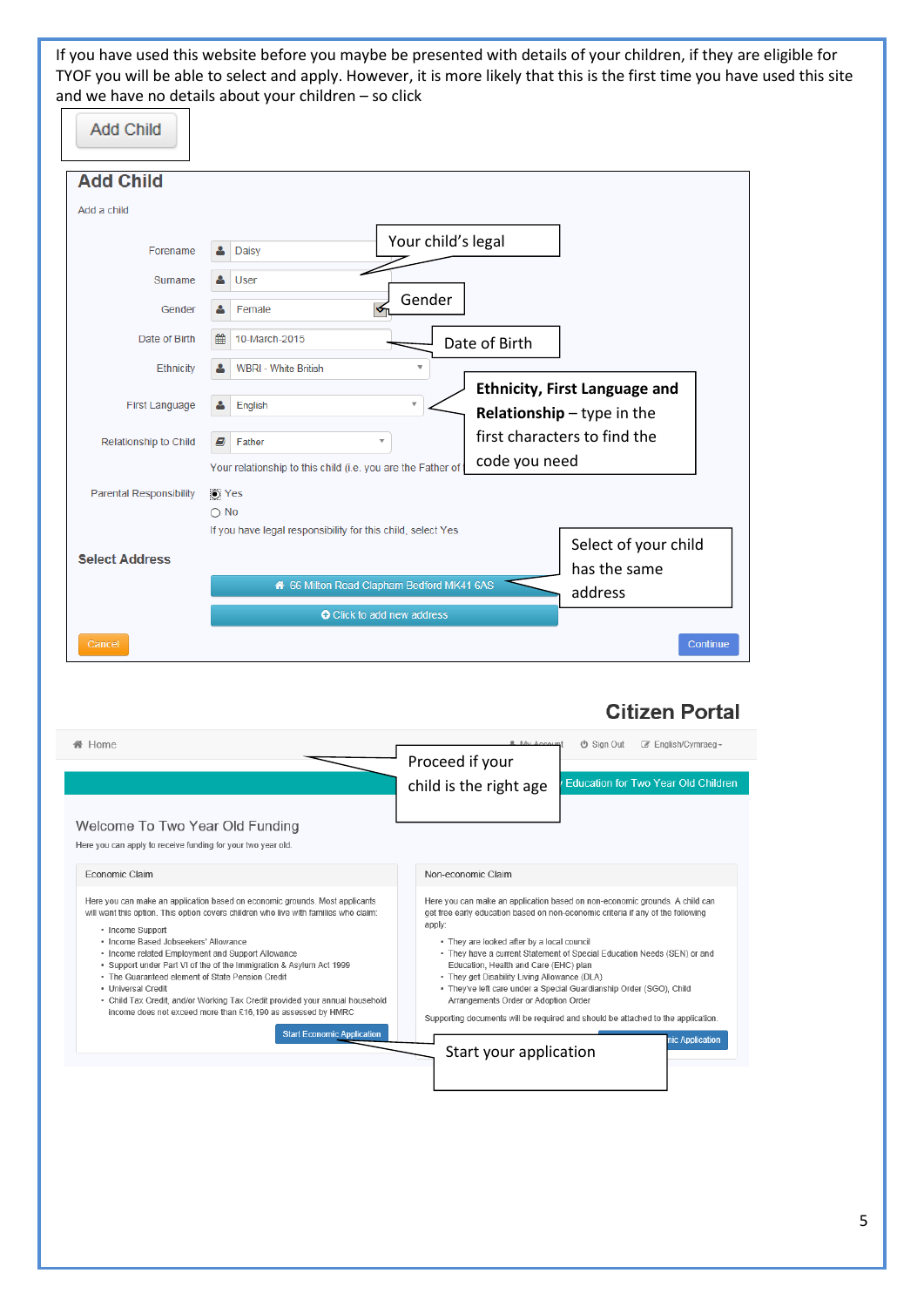If you have used this website before you maybe be presented with details of your children, if they are eligible for TYOF you will be able to select and apply. However, it is more likely that this is the first time you have used this site and we have no details about your children – so click

| <b>Add Child</b>               |                                                                                                                   |
|--------------------------------|-------------------------------------------------------------------------------------------------------------------|
| <b>Add Child</b>               |                                                                                                                   |
| Add a child                    |                                                                                                                   |
| Forename                       | Your child's legal<br>Daisy                                                                                       |
| Surname                        | User                                                                                                              |
| Gender                         | Gender<br>Female                                                                                                  |
| Date of Birth                  | 鱛<br>10-March-2015<br>Date of Birth                                                                               |
| Ethnicity                      | <b>WBRI - White British</b>                                                                                       |
| <b>First Language</b>          | <b>Ethnicity, First Language and</b><br>$\overline{\mathbf{v}}$<br>English<br><b>Relationship</b> $-$ type in the |
| Relationship to Child          | first characters to find the<br>E)<br>Father                                                                      |
|                                | code you need<br>Your relationship to this child (i.e. you are the Father of t                                    |
| <b>Parental Responsibility</b> | O Yes<br>$\bigcirc$ No                                                                                            |
| <b>Select Address</b>          | If you have legal responsibility for this child, select Yes<br>Select of your child<br>has the same               |
|                                | 66 Milton Road Clapham Bedford MK41 6AS<br>address                                                                |
|                                | <b>O</b> Click to add new address                                                                                 |
| Cancel                         | Continue                                                                                                          |

## **Citizen Portal**

| Home                                                                                                                                                                                                                                                                                                                                                                                    | <b>R</b> My Account<br><b>の Sign Out</b><br>■ English/Cymraeg -<br>Proceed if your<br><b>Education for Two Year Old Children</b><br>child is the right age                                                                                                                                                                                                                                                       |
|-----------------------------------------------------------------------------------------------------------------------------------------------------------------------------------------------------------------------------------------------------------------------------------------------------------------------------------------------------------------------------------------|------------------------------------------------------------------------------------------------------------------------------------------------------------------------------------------------------------------------------------------------------------------------------------------------------------------------------------------------------------------------------------------------------------------|
| Welcome To Two Year Old Funding                                                                                                                                                                                                                                                                                                                                                         |                                                                                                                                                                                                                                                                                                                                                                                                                  |
| Here you can apply to receive funding for your two year old.<br>Economic Claim<br>Here you can make an application based on economic grounds. Most applicants<br>will want this option. This option covers children who live with families who claim:<br>• Income Support<br>· Income Based Jobseekers' Allowance                                                                       | Non-economic Claim<br>Here you can make an application based on non-economic grounds. A child can<br>get free early education based on non-economic criteria if any of the following<br>apply:<br>• They are looked after by a local council                                                                                                                                                                     |
| · Income related Employment and Support Allowance<br>. Support under Part VI of the of the Immigration & Asylum Act 1999<br>. The Guaranteed element of State Pension Credit<br>· Universal Credit<br>• Child Tax Credit, and/or Working Tax Credit provided your annual household<br>income does not exceed more than £16,190 as assessed by HMRC<br><b>Start Economic Application</b> | . They have a current Statement of Special Education Needs (SEN) or and<br>Education, Health and Care (EHC) plan<br>• They get Disability Living Allowance (DLA)<br>. They've left care under a Special Guardianship Order (SGO), Child<br>Arrangements Order or Adoption Order<br>Supporting documents will be required and should be attached to the application.<br>nic Application<br>Start your application |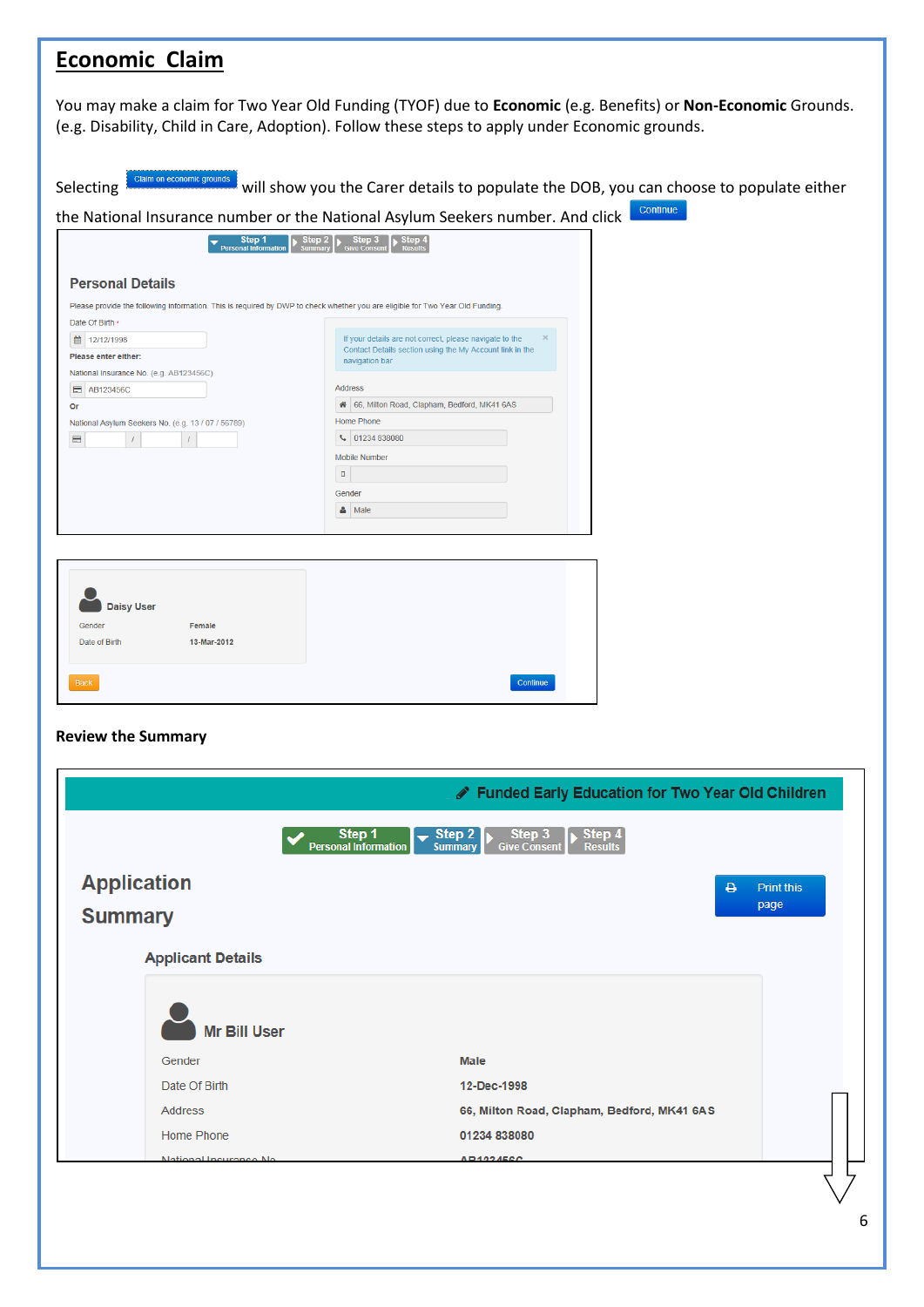| <b>Economic Claim</b>                                                                                                                                                                     |                                                                                                                                                                                                                  |
|-------------------------------------------------------------------------------------------------------------------------------------------------------------------------------------------|------------------------------------------------------------------------------------------------------------------------------------------------------------------------------------------------------------------|
|                                                                                                                                                                                           | You may make a claim for Two Year Old Funding (TYOF) due to Economic (e.g. Benefits) or Non-Economic Grounds.<br>(e.g. Disability, Child in Care, Adoption). Follow these steps to apply under Economic grounds. |
| Claim on economic grounds<br>Selecting                                                                                                                                                    | will show you the Carer details to populate the DOB, you can choose to populate either                                                                                                                           |
|                                                                                                                                                                                           | Continue<br>the National Insurance number or the National Asylum Seekers number. And click                                                                                                                       |
| Step 1<br>Personal Informatio<br><b>Personal Details</b><br>Please provide the following information. This is required by DWP to check whether you are eligible for Two Year Old Funding. | $\leftarrow$ Step 2 $\leftarrow$ Step 3 Step 4                                                                                                                                                                   |
| Date Of Birth *<br>■ 12/12/1998<br>Please enter either:                                                                                                                                   | If your details are not correct, please navigate to the<br>Contact Details section using the My Account link in the<br>navigation bar                                                                            |
| National Insurance No. (e.g. AB123456C)<br><b>E</b> AB123456C<br>Or<br>National Asylum Seekers No. (e.g. 13 / 07 / 56789)                                                                 | <b>Address</b><br>4 66, Milton Road, Clapham, Bedford, MK41 6AS<br>Home Phone                                                                                                                                    |
| $\blacksquare$                                                                                                                                                                            | € 01234 838080<br><b>Mobile Number</b><br>$\Box$                                                                                                                                                                 |
|                                                                                                                                                                                           | Gender<br>$\Delta$ Male                                                                                                                                                                                          |
| <b>Daisy User</b><br>Female<br>Gender<br>13-Mar-2012<br>Date of Birth<br>Back<br><b>Review the Summary</b>                                                                                | Continue                                                                                                                                                                                                         |
| <b>Application</b>                                                                                                                                                                        | Funded Early Education for Two Year Old Children<br>Step 1<br>Step 4<br>Step 2<br>Step 3<br><b>Personal Information</b><br><b>Summary</b><br><b>Results</b><br><b>Give Consent</b><br>۵<br><b>Print this</b>     |
| <b>Summary</b>                                                                                                                                                                            | page                                                                                                                                                                                                             |
| <b>Applicant Details</b>                                                                                                                                                                  |                                                                                                                                                                                                                  |
| <b>Mr Bill User</b>                                                                                                                                                                       |                                                                                                                                                                                                                  |
| Gender                                                                                                                                                                                    | <b>Male</b>                                                                                                                                                                                                      |
| Date Of Birth                                                                                                                                                                             | 12-Dec-1998                                                                                                                                                                                                      |
| <b>Address</b>                                                                                                                                                                            | 66, Milton Road, Clapham, Bedford, MK41 6AS                                                                                                                                                                      |
| <b>Home Phone</b>                                                                                                                                                                         | 01234 838080                                                                                                                                                                                                     |
| <b>National Insurance No</b>                                                                                                                                                              | $\triangle$ R123456C                                                                                                                                                                                             |
|                                                                                                                                                                                           |                                                                                                                                                                                                                  |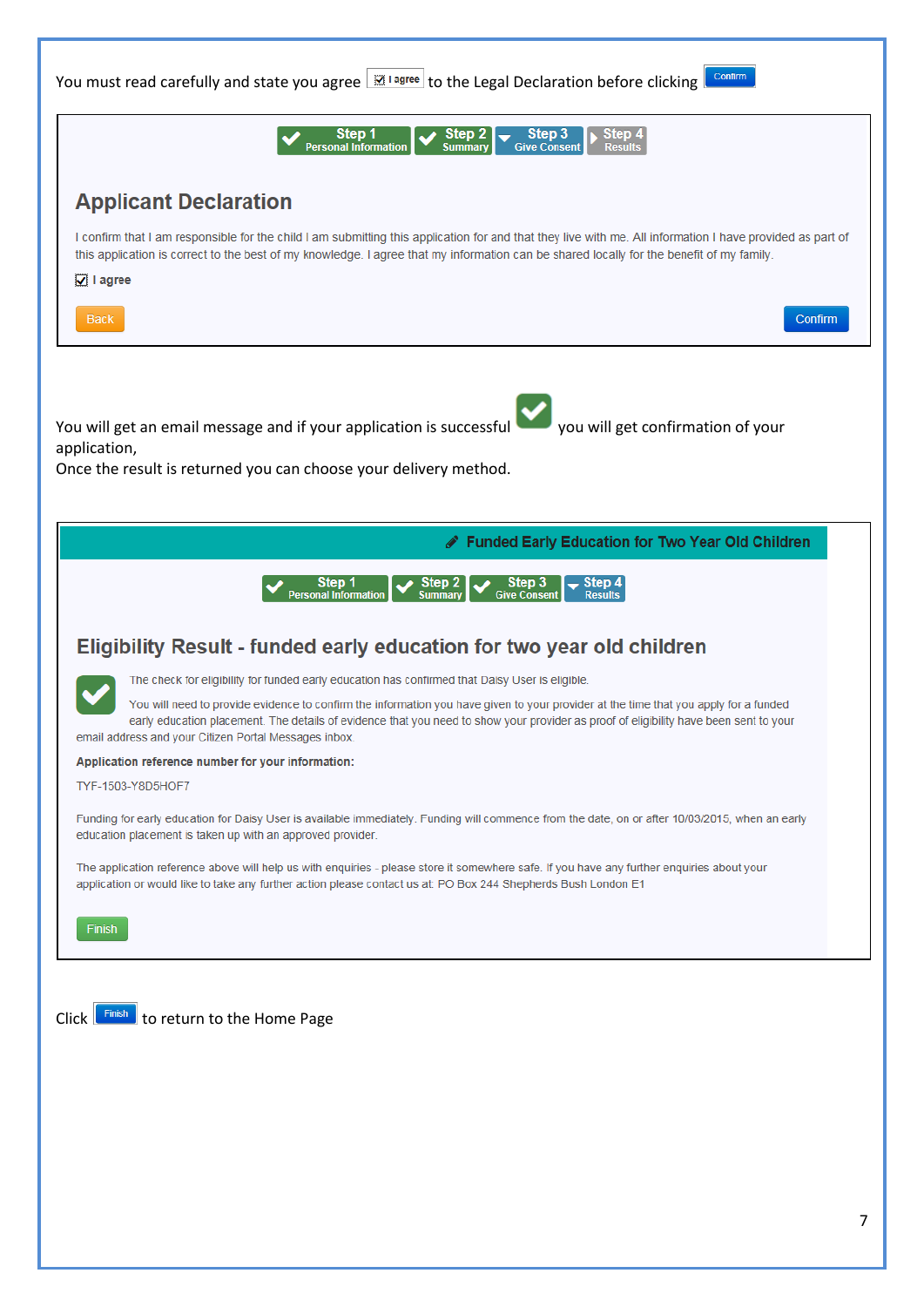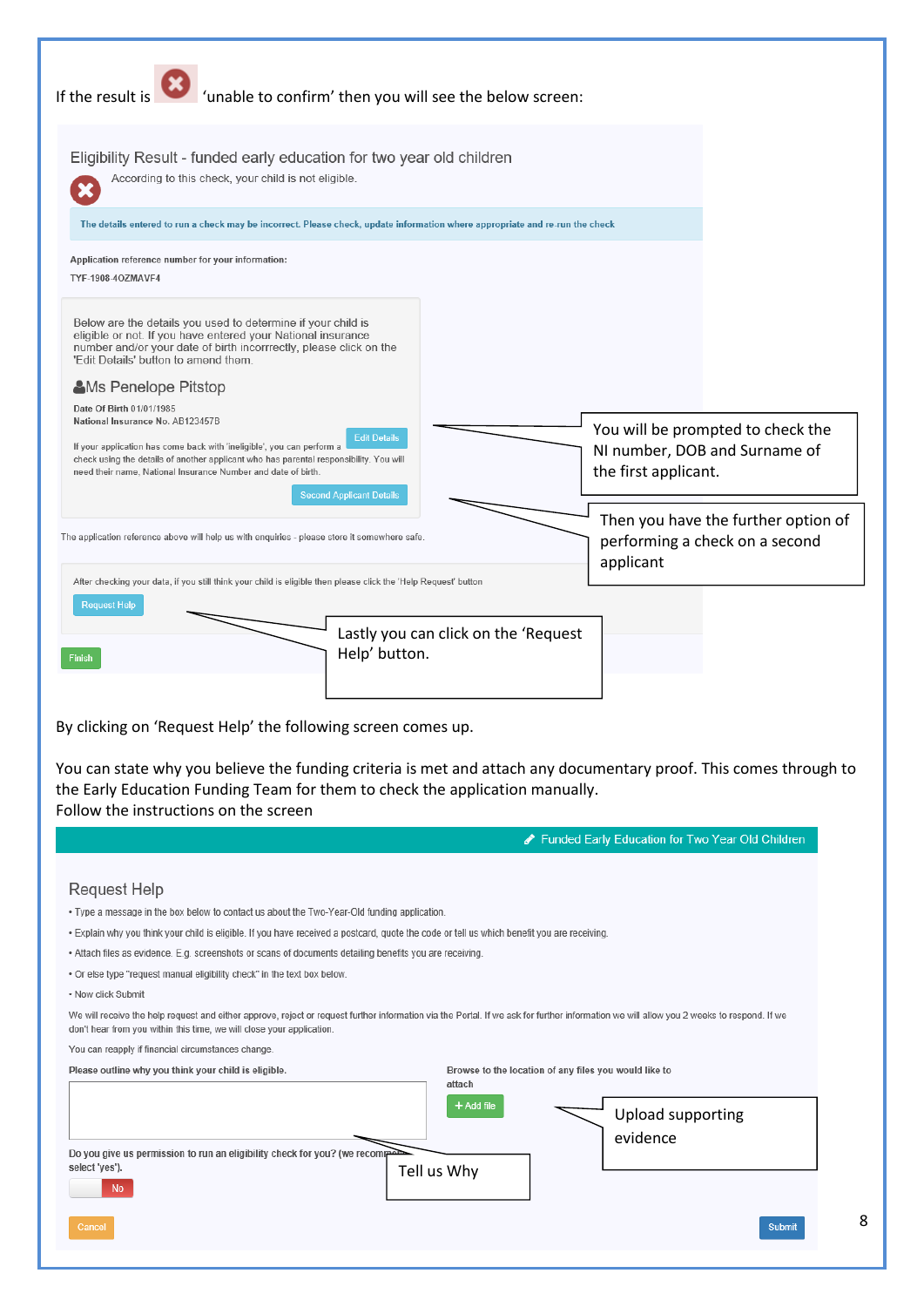| Eligibility Result - funded early education for two year old children<br>According to this check, your child is not eligible.<br>The details entered to run a check may be incorrect. Please check, update information where appropriate and re-run the check<br>Application reference number for your information:<br>TYF-1908-4OZMAVF4<br>Below are the details you used to determine if your child is<br>eligible or not. If you have entered your National insurance<br>number and/or your date of birth incorrrectly, please click on the<br>'Edit Details' button to amend them.<br><b>AMs Penelope Pitstop</b><br>Date Of Birth 01/01/1985<br>National Insurance No. AB123457B<br>You will be prompted to check the<br><b>Edit Details</b><br>If your application has come back with 'ineligible', you can perform a<br>NI number, DOB and Surname of<br>check using the details of another applicant who has parental responsibility. You will<br>the first applicant.<br>need their name, National Insurance Number and date of birth.<br><b>Second Applicant Details</b><br>Then you have the further option of<br>The application reference above will help us with enquiries - please store it somewhere safe.<br>performing a check on a second<br>applicant<br>After checking your data, if you still think your child is eligible then please click the 'Help Request' button<br><b>Request Help</b><br>Lastly you can click on the 'Request<br>Help' button.<br><b>Finish</b><br>By clicking on 'Request Help' the following screen comes up.<br>You can state why you believe the funding criteria is met and attach any documentary proof. This comes through to<br>the Early Education Funding Team for them to check the application manually.<br>Follow the instructions on the screen<br>Funded Early Education for Two Year Old Children<br><b>Request Help</b><br>. Type a message in the box below to contact us about the Two-Year-Old funding application.<br>. Explain why you think your child is eligible. If you have received a postcard, quote the code or tell us which benefit you are receiving.<br>. Attach files as evidence. E.g. screenshots or scans of documents detailing benefits you are receiving.<br>. Or else type "request manual eligibility check" in the text box below.<br>• Now click Submit<br>We will receive the help request and either approve, reject or request further information via the Portal. If we ask for further information we will allow you 2 weeks to respond. If we<br>don't hear from you within this time, we will close your application.<br>You can reapply if financial circumstances change. |                                                      | If the result is <b>the finally confirm</b> then you will see the below screen: |  |
|-------------------------------------------------------------------------------------------------------------------------------------------------------------------------------------------------------------------------------------------------------------------------------------------------------------------------------------------------------------------------------------------------------------------------------------------------------------------------------------------------------------------------------------------------------------------------------------------------------------------------------------------------------------------------------------------------------------------------------------------------------------------------------------------------------------------------------------------------------------------------------------------------------------------------------------------------------------------------------------------------------------------------------------------------------------------------------------------------------------------------------------------------------------------------------------------------------------------------------------------------------------------------------------------------------------------------------------------------------------------------------------------------------------------------------------------------------------------------------------------------------------------------------------------------------------------------------------------------------------------------------------------------------------------------------------------------------------------------------------------------------------------------------------------------------------------------------------------------------------------------------------------------------------------------------------------------------------------------------------------------------------------------------------------------------------------------------------------------------------------------------------------------------------------------------------------------------------------------------------------------------------------------------------------------------------------------------------------------------------------------------------------------------------------------------------------------------------------------------------------------------------------------------------------------------------------------------------------------------------------------------------------------------------------------------|------------------------------------------------------|---------------------------------------------------------------------------------|--|
|                                                                                                                                                                                                                                                                                                                                                                                                                                                                                                                                                                                                                                                                                                                                                                                                                                                                                                                                                                                                                                                                                                                                                                                                                                                                                                                                                                                                                                                                                                                                                                                                                                                                                                                                                                                                                                                                                                                                                                                                                                                                                                                                                                                                                                                                                                                                                                                                                                                                                                                                                                                                                                                                               |                                                      |                                                                                 |  |
|                                                                                                                                                                                                                                                                                                                                                                                                                                                                                                                                                                                                                                                                                                                                                                                                                                                                                                                                                                                                                                                                                                                                                                                                                                                                                                                                                                                                                                                                                                                                                                                                                                                                                                                                                                                                                                                                                                                                                                                                                                                                                                                                                                                                                                                                                                                                                                                                                                                                                                                                                                                                                                                                               |                                                      |                                                                                 |  |
|                                                                                                                                                                                                                                                                                                                                                                                                                                                                                                                                                                                                                                                                                                                                                                                                                                                                                                                                                                                                                                                                                                                                                                                                                                                                                                                                                                                                                                                                                                                                                                                                                                                                                                                                                                                                                                                                                                                                                                                                                                                                                                                                                                                                                                                                                                                                                                                                                                                                                                                                                                                                                                                                               |                                                      |                                                                                 |  |
|                                                                                                                                                                                                                                                                                                                                                                                                                                                                                                                                                                                                                                                                                                                                                                                                                                                                                                                                                                                                                                                                                                                                                                                                                                                                                                                                                                                                                                                                                                                                                                                                                                                                                                                                                                                                                                                                                                                                                                                                                                                                                                                                                                                                                                                                                                                                                                                                                                                                                                                                                                                                                                                                               |                                                      |                                                                                 |  |
|                                                                                                                                                                                                                                                                                                                                                                                                                                                                                                                                                                                                                                                                                                                                                                                                                                                                                                                                                                                                                                                                                                                                                                                                                                                                                                                                                                                                                                                                                                                                                                                                                                                                                                                                                                                                                                                                                                                                                                                                                                                                                                                                                                                                                                                                                                                                                                                                                                                                                                                                                                                                                                                                               |                                                      |                                                                                 |  |
|                                                                                                                                                                                                                                                                                                                                                                                                                                                                                                                                                                                                                                                                                                                                                                                                                                                                                                                                                                                                                                                                                                                                                                                                                                                                                                                                                                                                                                                                                                                                                                                                                                                                                                                                                                                                                                                                                                                                                                                                                                                                                                                                                                                                                                                                                                                                                                                                                                                                                                                                                                                                                                                                               |                                                      |                                                                                 |  |
|                                                                                                                                                                                                                                                                                                                                                                                                                                                                                                                                                                                                                                                                                                                                                                                                                                                                                                                                                                                                                                                                                                                                                                                                                                                                                                                                                                                                                                                                                                                                                                                                                                                                                                                                                                                                                                                                                                                                                                                                                                                                                                                                                                                                                                                                                                                                                                                                                                                                                                                                                                                                                                                                               |                                                      |                                                                                 |  |
|                                                                                                                                                                                                                                                                                                                                                                                                                                                                                                                                                                                                                                                                                                                                                                                                                                                                                                                                                                                                                                                                                                                                                                                                                                                                                                                                                                                                                                                                                                                                                                                                                                                                                                                                                                                                                                                                                                                                                                                                                                                                                                                                                                                                                                                                                                                                                                                                                                                                                                                                                                                                                                                                               |                                                      |                                                                                 |  |
|                                                                                                                                                                                                                                                                                                                                                                                                                                                                                                                                                                                                                                                                                                                                                                                                                                                                                                                                                                                                                                                                                                                                                                                                                                                                                                                                                                                                                                                                                                                                                                                                                                                                                                                                                                                                                                                                                                                                                                                                                                                                                                                                                                                                                                                                                                                                                                                                                                                                                                                                                                                                                                                                               |                                                      |                                                                                 |  |
|                                                                                                                                                                                                                                                                                                                                                                                                                                                                                                                                                                                                                                                                                                                                                                                                                                                                                                                                                                                                                                                                                                                                                                                                                                                                                                                                                                                                                                                                                                                                                                                                                                                                                                                                                                                                                                                                                                                                                                                                                                                                                                                                                                                                                                                                                                                                                                                                                                                                                                                                                                                                                                                                               |                                                      |                                                                                 |  |
|                                                                                                                                                                                                                                                                                                                                                                                                                                                                                                                                                                                                                                                                                                                                                                                                                                                                                                                                                                                                                                                                                                                                                                                                                                                                                                                                                                                                                                                                                                                                                                                                                                                                                                                                                                                                                                                                                                                                                                                                                                                                                                                                                                                                                                                                                                                                                                                                                                                                                                                                                                                                                                                                               |                                                      |                                                                                 |  |
|                                                                                                                                                                                                                                                                                                                                                                                                                                                                                                                                                                                                                                                                                                                                                                                                                                                                                                                                                                                                                                                                                                                                                                                                                                                                                                                                                                                                                                                                                                                                                                                                                                                                                                                                                                                                                                                                                                                                                                                                                                                                                                                                                                                                                                                                                                                                                                                                                                                                                                                                                                                                                                                                               |                                                      |                                                                                 |  |
|                                                                                                                                                                                                                                                                                                                                                                                                                                                                                                                                                                                                                                                                                                                                                                                                                                                                                                                                                                                                                                                                                                                                                                                                                                                                                                                                                                                                                                                                                                                                                                                                                                                                                                                                                                                                                                                                                                                                                                                                                                                                                                                                                                                                                                                                                                                                                                                                                                                                                                                                                                                                                                                                               |                                                      |                                                                                 |  |
|                                                                                                                                                                                                                                                                                                                                                                                                                                                                                                                                                                                                                                                                                                                                                                                                                                                                                                                                                                                                                                                                                                                                                                                                                                                                                                                                                                                                                                                                                                                                                                                                                                                                                                                                                                                                                                                                                                                                                                                                                                                                                                                                                                                                                                                                                                                                                                                                                                                                                                                                                                                                                                                                               |                                                      |                                                                                 |  |
|                                                                                                                                                                                                                                                                                                                                                                                                                                                                                                                                                                                                                                                                                                                                                                                                                                                                                                                                                                                                                                                                                                                                                                                                                                                                                                                                                                                                                                                                                                                                                                                                                                                                                                                                                                                                                                                                                                                                                                                                                                                                                                                                                                                                                                                                                                                                                                                                                                                                                                                                                                                                                                                                               |                                                      |                                                                                 |  |
|                                                                                                                                                                                                                                                                                                                                                                                                                                                                                                                                                                                                                                                                                                                                                                                                                                                                                                                                                                                                                                                                                                                                                                                                                                                                                                                                                                                                                                                                                                                                                                                                                                                                                                                                                                                                                                                                                                                                                                                                                                                                                                                                                                                                                                                                                                                                                                                                                                                                                                                                                                                                                                                                               |                                                      |                                                                                 |  |
| attach                                                                                                                                                                                                                                                                                                                                                                                                                                                                                                                                                                                                                                                                                                                                                                                                                                                                                                                                                                                                                                                                                                                                                                                                                                                                                                                                                                                                                                                                                                                                                                                                                                                                                                                                                                                                                                                                                                                                                                                                                                                                                                                                                                                                                                                                                                                                                                                                                                                                                                                                                                                                                                                                        |                                                      |                                                                                 |  |
| + Add file<br><b>Upload supporting</b>                                                                                                                                                                                                                                                                                                                                                                                                                                                                                                                                                                                                                                                                                                                                                                                                                                                                                                                                                                                                                                                                                                                                                                                                                                                                                                                                                                                                                                                                                                                                                                                                                                                                                                                                                                                                                                                                                                                                                                                                                                                                                                                                                                                                                                                                                                                                                                                                                                                                                                                                                                                                                                        | Please outline why you think your child is eligible. | Browse to the location of any files you would like to                           |  |

Tell us Why

 $N<sub>0</sub>$ 

| lomn |  |
|------|--|
|      |  |

8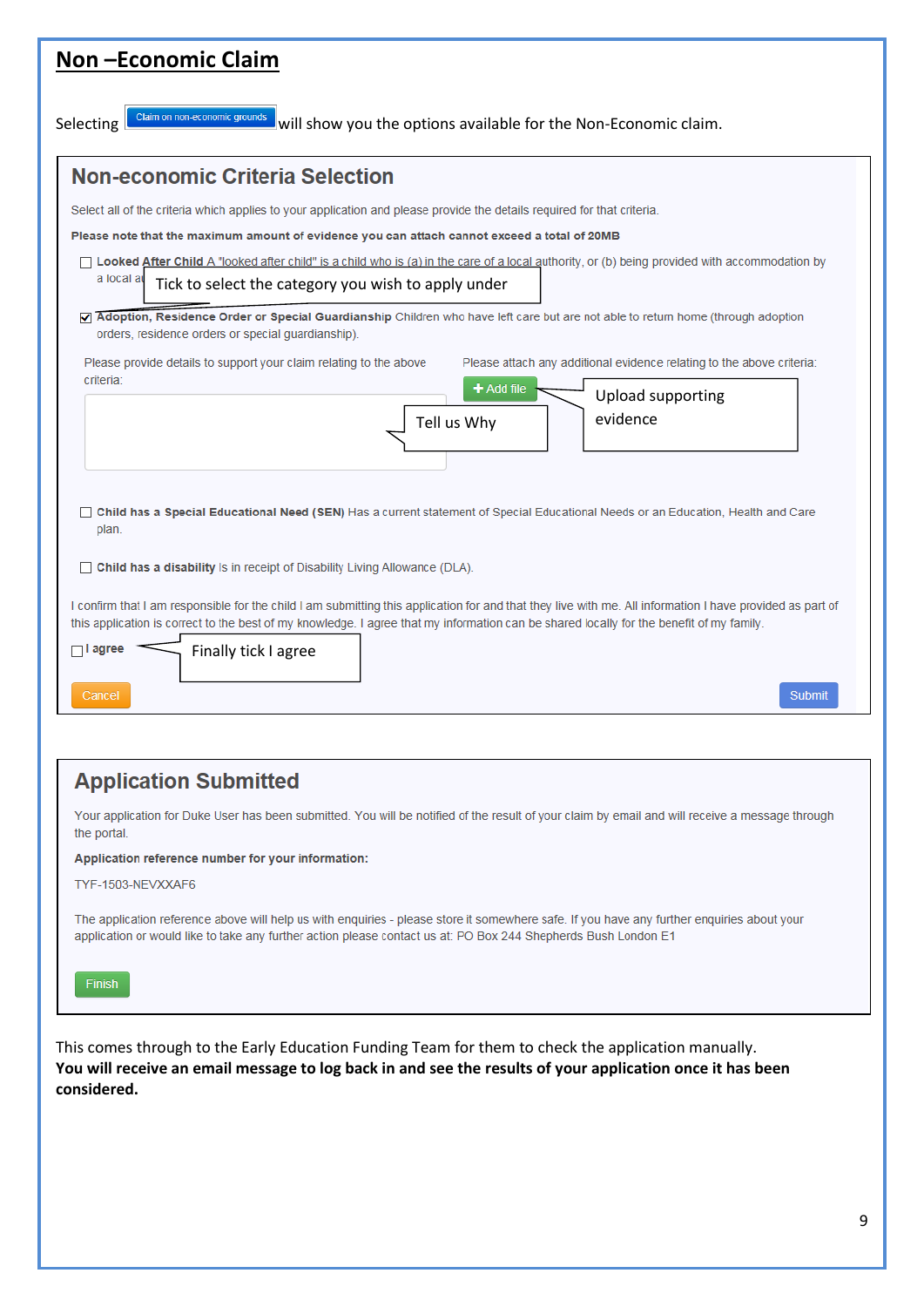| <b>Non-Economic Claim</b>                                                                                                                                                                                                                                                                                                                                                  |
|----------------------------------------------------------------------------------------------------------------------------------------------------------------------------------------------------------------------------------------------------------------------------------------------------------------------------------------------------------------------------|
| Claim on non-economic grounds<br>Selecting<br>will show you the options available for the Non-Economic claim.                                                                                                                                                                                                                                                              |
| <b>Non-economic Criteria Selection</b>                                                                                                                                                                                                                                                                                                                                     |
| Select all of the criteria which applies to your application and please provide the details required for that criteria.                                                                                                                                                                                                                                                    |
| Please note that the maximum amount of evidence you can attach cannot exceed a total of 20MB                                                                                                                                                                                                                                                                               |
| □ Looked After Child A "looked after child" is a child who is (a) in the care of a local authority, or (b) being provided with accommodation by                                                                                                                                                                                                                            |
| a local a<br>Tick to select the category you wish to apply under                                                                                                                                                                                                                                                                                                           |
| Adoption, Residence Order or Special Guardianship Children who have left care but are not able to return home (through adoption<br>orders, residence orders or special guardianship).<br>Please provide details to support your claim relating to the above<br>Please attach any additional evidence relating to the above criteria:                                       |
| criteria:<br>$+$ Add file                                                                                                                                                                                                                                                                                                                                                  |
| <b>Upload supporting</b><br>evidence<br>Tell us Why                                                                                                                                                                                                                                                                                                                        |
| <b>Child has a Special Educational Need (SEN)</b> Has a current statement of Special Educational Needs or an Education, Health and Care<br>plan.                                                                                                                                                                                                                           |
| $\Box$ Child has a disability Is in receipt of Disability Living Allowance (DLA).                                                                                                                                                                                                                                                                                          |
| I confirm that I am responsible for the child I am submitting this application for and that they live with me. All information I have provided as part of<br>this application is correct to the best of my knowledge. I agree that my information can be shared locally for the benefit of my family.<br>$\Box$ I agree<br>Finally tick I agree<br><b>Submit</b><br>Cancel |
|                                                                                                                                                                                                                                                                                                                                                                            |

## **Application Submitted**

Your application for Duke User has been submitted. You will be notified of the result of your claim by email and will receive a message through the portal.

Application reference number for your information:

TYF-1503-NEVXXAF6

The application reference above will help us with enquiries - please store it somewhere safe. If you have any further enquiries about your application or would like to take any further action please contact us at: PO Box 244 Shepherds Bush London E1

This comes through to the Early Education Funding Team for them to check the application manually. **You will receive an email message to log back in and see the results of your application once it has been considered.**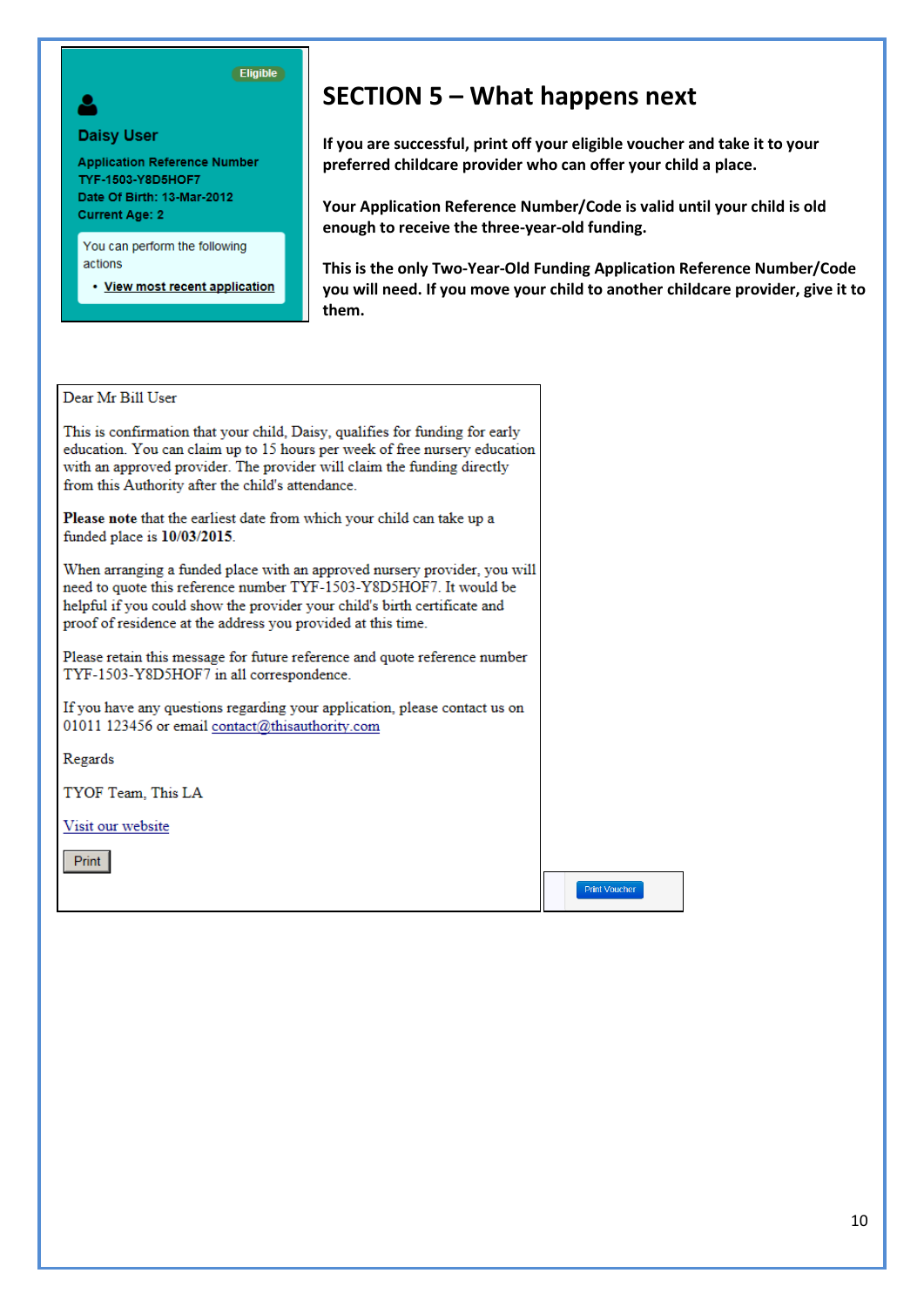

#### **Daisy User**

**Application Reference Number** TYF-1503-Y8D5HOF7 Date Of Birth: 13-Mar-2012 **Current Age: 2** 

You can perform the following actions

• View most recent application

# **SECTION 5 – What happens next**

**If you are successful, print off your eligible voucher and take it to your preferred childcare provider who can offer your child a place.**

**Your Application Reference Number/Code is valid until your child is old enough to receive the three-year-old funding.**

**This is the only Two-Year-Old Funding Application Reference Number/Code you will need. If you move your child to another childcare provider, give it to them.**